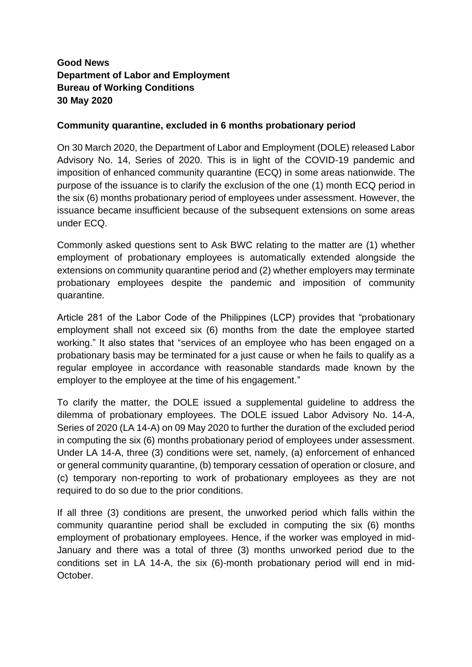## **Good News Department of Labor and Employment Bureau of Working Conditions 30 May 2020**

## **Community quarantine, excluded in 6 months probationary period**

On 30 March 2020, the Department of Labor and Employment (DOLE) released Labor Advisory No. 14, Series of 2020. This is in light of the COVID-19 pandemic and imposition of enhanced community quarantine (ECQ) in some areas nationwide. The purpose of the issuance is to clarify the exclusion of the one (1) month ECQ period in the six (6) months probationary period of employees under assessment. However, the issuance became insufficient because of the subsequent extensions on some areas under ECQ.

Commonly asked questions sent to Ask BWC relating to the matter are (1) whether employment of probationary employees is automatically extended alongside the extensions on community quarantine period and (2) whether employers may terminate probationary employees despite the pandemic and imposition of community quarantine.

Article 281 of the Labor Code of the Philippines (LCP) provides that "probationary employment shall not exceed six (6) months from the date the employee started working." It also states that "services of an employee who has been engaged on a probationary basis may be terminated for a just cause or when he fails to qualify as a regular employee in accordance with reasonable standards made known by the employer to the employee at the time of his engagement."

To clarify the matter, the DOLE issued a supplemental guideline to address the dilemma of probationary employees. The DOLE issued Labor Advisory No. 14-A, Series of 2020 (LA 14-A) on 09 May 2020 to further the duration of the excluded period in computing the six (6) months probationary period of employees under assessment. Under LA 14-A, three (3) conditions were set, namely, (a) enforcement of enhanced or general community quarantine, (b) temporary cessation of operation or closure, and (c) temporary non-reporting to work of probationary employees as they are not required to do so due to the prior conditions.

If all three (3) conditions are present, the unworked period which falls within the community quarantine period shall be excluded in computing the six (6) months employment of probationary employees. Hence, if the worker was employed in mid-January and there was a total of three (3) months unworked period due to the conditions set in LA 14-A, the six (6)-month probationary period will end in mid-October.